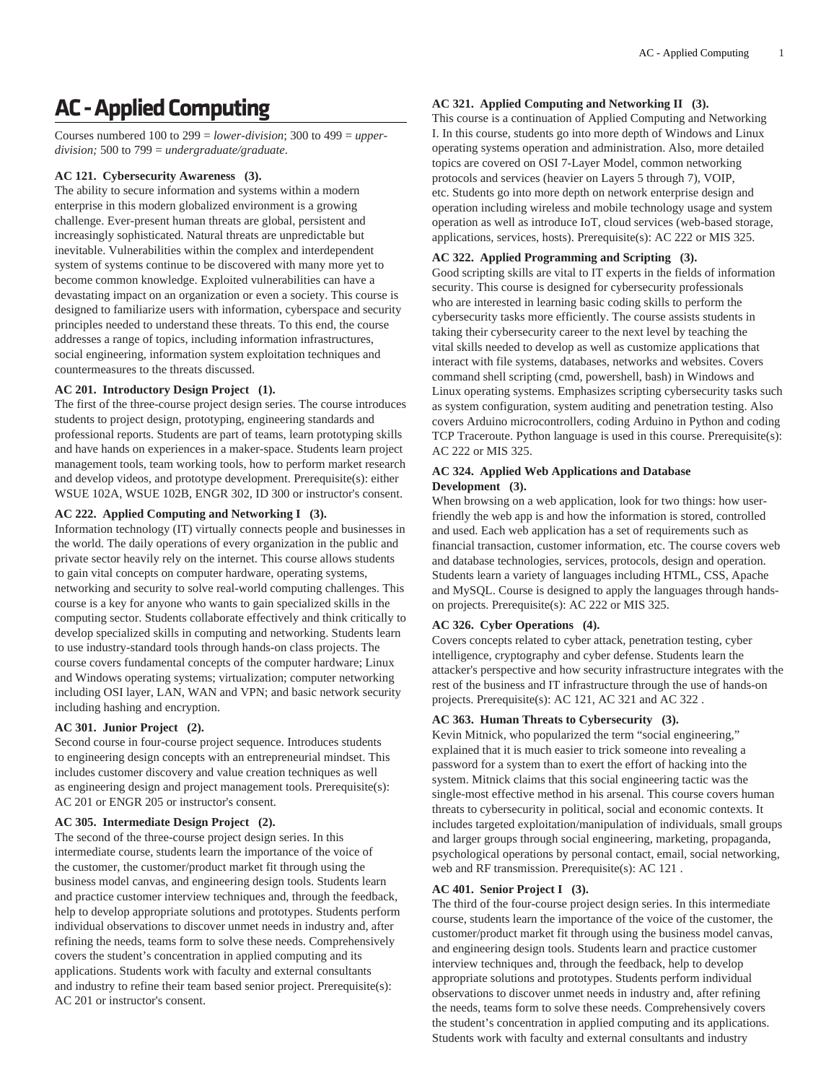# **AC - Applied Computing**

Courses numbered 100 to 299 = *lower-division*; 300 to 499 = *upperdivision;* 500 to 799 = *undergraduate/graduate*.

## **AC 121. Cybersecurity Awareness (3).**

The ability to secure information and systems within a modern enterprise in this modern globalized environment is a growing challenge. Ever-present human threats are global, persistent and increasingly sophisticated. Natural threats are unpredictable but inevitable. Vulnerabilities within the complex and interdependent system of systems continue to be discovered with many more yet to become common knowledge. Exploited vulnerabilities can have a devastating impact on an organization or even a society. This course is designed to familiarize users with information, cyberspace and security principles needed to understand these threats. To this end, the course addresses a range of topics, including information infrastructures, social engineering, information system exploitation techniques and countermeasures to the threats discussed.

## **AC 201. Introductory Design Project (1).**

The first of the three-course project design series. The course introduces students to project design, prototyping, engineering standards and professional reports. Students are part of teams, learn prototyping skills and have hands on experiences in a maker-space. Students learn project management tools, team working tools, how to perform market research and develop videos, and prototype development. Prerequisite(s): either WSUE 102A, WSUE 102B, ENGR 302, ID 300 or instructor's consent.

## **AC 222. Applied Computing and Networking I (3).**

Information technology (IT) virtually connects people and businesses in the world. The daily operations of every organization in the public and private sector heavily rely on the internet. This course allows students to gain vital concepts on computer hardware, operating systems, networking and security to solve real-world computing challenges. This course is a key for anyone who wants to gain specialized skills in the computing sector. Students collaborate effectively and think critically to develop specialized skills in computing and networking. Students learn to use industry-standard tools through hands-on class projects. The course covers fundamental concepts of the computer hardware; Linux and Windows operating systems; virtualization; computer networking including OSI layer, LAN, WAN and VPN; and basic network security including hashing and encryption.

# **AC 301. Junior Project (2).**

Second course in four-course project sequence. Introduces students to engineering design concepts with an entrepreneurial mindset. This includes customer discovery and value creation techniques as well as engineering design and project management tools. Prerequisite(s): AC 201 or ENGR 205 or instructor's consent.

## **AC 305. Intermediate Design Project (2).**

The second of the three-course project design series. In this intermediate course, students learn the importance of the voice of the customer, the customer/product market fit through using the business model canvas, and engineering design tools. Students learn and practice customer interview techniques and, through the feedback, help to develop appropriate solutions and prototypes. Students perform individual observations to discover unmet needs in industry and, after refining the needs, teams form to solve these needs. Comprehensively covers the student's concentration in applied computing and its applications. Students work with faculty and external consultants and industry to refine their team based senior project. Prerequisite(s): AC 201 or instructor's consent.

# **AC 321. Applied Computing and Networking II (3).**

This course is a continuation of Applied Computing and Networking I. In this course, students go into more depth of Windows and Linux operating systems operation and administration. Also, more detailed topics are covered on OSI 7-Layer Model, common networking protocols and services (heavier on Layers 5 through 7), VOIP, etc. Students go into more depth on network enterprise design and operation including wireless and mobile technology usage and system operation as well as introduce IoT, cloud services (web-based storage, applications, services, hosts). Prerequisite(s): AC 222 or MIS 325.

# **AC 322. Applied Programming and Scripting (3).**

Good scripting skills are vital to IT experts in the fields of information security. This course is designed for cybersecurity professionals who are interested in learning basic coding skills to perform the cybersecurity tasks more efficiently. The course assists students in taking their cybersecurity career to the next level by teaching the vital skills needed to develop as well as customize applications that interact with file systems, databases, networks and websites. Covers command shell scripting (cmd, powershell, bash) in Windows and Linux operating systems. Emphasizes scripting cybersecurity tasks such as system configuration, system auditing and penetration testing. Also covers Arduino microcontrollers, coding Arduino in Python and coding TCP Traceroute. Python language is used in this course. Prerequisite(s): AC 222 or MIS 325.

### **AC 324. Applied Web Applications and Database Development (3).**

When browsing on a web application, look for two things: how userfriendly the web app is and how the information is stored, controlled and used. Each web application has a set of requirements such as financial transaction, customer information, etc. The course covers web and database technologies, services, protocols, design and operation. Students learn a variety of languages including HTML, CSS, Apache and MySQL. Course is designed to apply the languages through handson projects. Prerequisite(s): AC 222 or MIS 325.

## **AC 326. Cyber Operations (4).**

Covers concepts related to cyber attack, penetration testing, cyber intelligence, cryptography and cyber defense. Students learn the attacker's perspective and how security infrastructure integrates with the rest of the business and IT infrastructure through the use of hands-on projects. Prerequisite(s): AC 121, AC 321 and AC 322 .

# **AC 363. Human Threats to Cybersecurity (3).**

Kevin Mitnick, who popularized the term "social engineering," explained that it is much easier to trick someone into revealing a password for a system than to exert the effort of hacking into the system. Mitnick claims that this social engineering tactic was the single-most effective method in his arsenal. This course covers human threats to cybersecurity in political, social and economic contexts. It includes targeted exploitation/manipulation of individuals, small groups and larger groups through social engineering, marketing, propaganda, psychological operations by personal contact, email, social networking, web and RF transmission. Prerequisite(s): AC 121 .

## **AC 401. Senior Project I (3).**

The third of the four-course project design series. In this intermediate course, students learn the importance of the voice of the customer, the customer/product market fit through using the business model canvas, and engineering design tools. Students learn and practice customer interview techniques and, through the feedback, help to develop appropriate solutions and prototypes. Students perform individual observations to discover unmet needs in industry and, after refining the needs, teams form to solve these needs. Comprehensively covers the student's concentration in applied computing and its applications. Students work with faculty and external consultants and industry